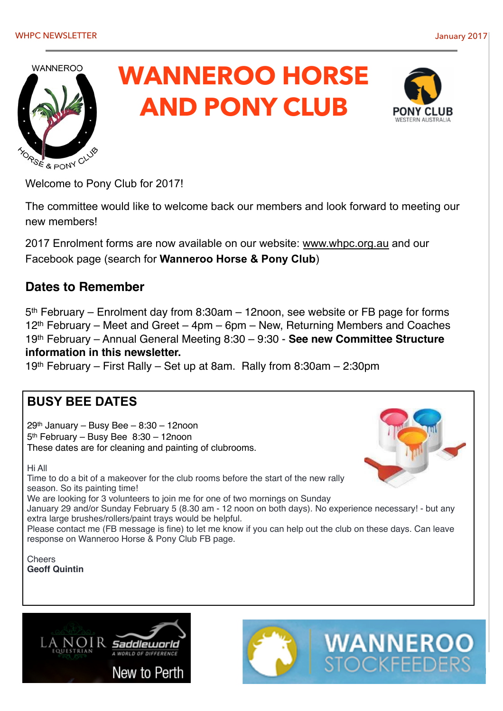1



# **WANNEROO HORSE AND PONY CLUB**



Welcome to Pony Club for 2017!

The committee would like to welcome back our members and look forward to meeting our new members!

2017 Enrolment forms are now available on our website: [www.whpc.org.au](http://www.whpc.org.au) and our Facebook page (search for **Wanneroo Horse & Pony Club**)

#### **Dates to Remember**

5th February – Enrolment day from 8:30am – 12noon, see website or FB page for forms 12th February – Meet and Greet – 4pm – 6pm – New, Returning Members and Coaches 19th February – Annual General Meeting 8:30 – 9:30 - **See new Committee Structure information in this newsletter.**

19th February – First Rally – Set up at 8am. Rally from 8:30am – 2:30pm

#### **BUSY BEE DATES**

29th January – Busy Bee – 8:30 – 12noon 5th February – Busy Bee 8:30 – 12noon These dates are for cleaning and painting of clubrooms.

Hi All

Time to do a bit of a makeover for the club rooms before the start of the new rally season. So its painting time!

We are looking for 3 volunteers to join me for one of two mornings on Sunday

January 29 and/or Sunday February 5 (8.30 am - 12 noon on both days). No experience necessary! - but any extra large brushes/rollers/paint trays would be helpful.

Please contact me (FB message is fine) to let me know if you can help out the club on these days. Can leave response on Wanneroo Horse & Pony Club FB page.

**Cheers Geoff Quintin**



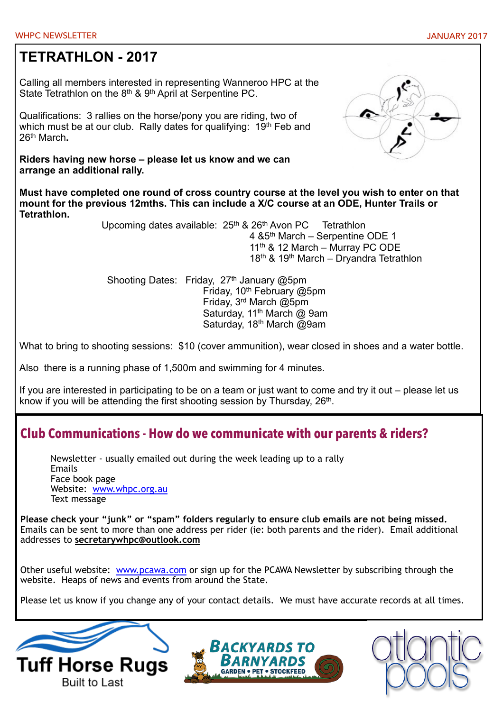## **TETRATHLON - 2017**

Calling all members interested in representing Wanneroo HPC at the State Tetrathlon on the 8<sup>th</sup> & 9<sup>th</sup> April at Serpentine PC.

Qualifications: 3 rallies on the horse/pony you are riding, two of which must be at our club. Rally dates for qualifying:  $19<sup>th</sup>$  Feb and 26th March**.** 

**Riders having new horse – please let us know and we can arrange an additional rally.**

**Must have completed one round of cross country course at the level you wish to enter on that mount for the previous 12mths. This can include a X/C course at an ODE, Hunter Trails or Tetrathlon.**

> Upcoming dates available: 25th & 26th Avon PC Tetrathlon 4 &5th March – Serpentine ODE 1  $11<sup>th</sup>$  & 12 March – Murray PC ODE 18th & 19th March – Dryandra Tetrathlon

Shooting Dates: Friday, 27<sup>th</sup> January @5pm Friday, 10th February @5pm Friday, 3rd March @5pm Saturday, 11<sup>th</sup> March @ 9am Saturday, 18th March @9am

What to bring to shooting sessions: \$10 (cover ammunition), wear closed in shoes and a water bottle.

Also there is a running phase of 1,500m and swimming for 4 minutes.

If you are interested in participating to be on a team or just want to come and try it out – please let us know if you will be attending the first shooting session by Thursday, 26<sup>th</sup>.

#### **Club Communications - How do we communicate with our parents & riders?**

 Newsletter - usually emailed out during the week leading up to a rally Emails Face book page Website: [www.whpc.org.au](http://www.whpc.org.au) Text message

**Please check your "junk" or "spam" folders regularly to ensure club emails are not being missed.**  Emails can be sent to more than one address per rider (ie: both parents and the rider). Email additional addresses to **secretarywhpc@outlook.com**

Other useful website: [www.pcawa.com](http://www.pcawa.com) or sign up for the PCAWA Newsletter by subscribing through the website. Heaps of news and events from around the State.

Please let us know if you change any of your contact details. We must have accurate records at all times.